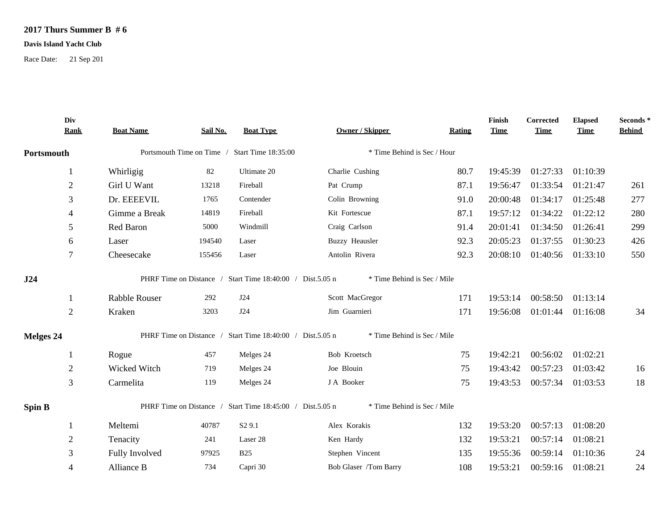## **2017 Thurs Summer B # 6**

## **Davis Island Yacht Club**

Race Date: 21 Sep 201

|               | Div<br><b>Rank</b> | <b>Boat Name</b>                              | Sail No. | <b>Boat Type</b>                                          | <b>Owner / Skipper</b>      | Rating | Finish<br><b>Time</b> | <b>Corrected</b><br><b>Time</b> | <b>Elapsed</b><br><b>Time</b> | Seconds *<br><b>Behind</b> |
|---------------|--------------------|-----------------------------------------------|----------|-----------------------------------------------------------|-----------------------------|--------|-----------------------|---------------------------------|-------------------------------|----------------------------|
| Portsmouth    |                    | Portsmouth Time on Time / Start Time 18:35:00 |          | * Time Behind is Sec / Hour                               |                             |        |                       |                                 |                               |                            |
|               | $\mathbf{1}$       | Whirligig                                     | 82       | Ultimate 20                                               | Charlie Cushing             | 80.7   | 19:45:39              | 01:27:33                        | 01:10:39                      |                            |
|               | $\overline{2}$     | Girl U Want                                   | 13218    | Fireball                                                  | Pat Crump                   | 87.1   | 19:56:47              | 01:33:54                        | 01:21:47                      | 261                        |
|               | 3                  | Dr. EEEEVIL                                   | 1765     | Contender                                                 | Colin Browning              | 91.0   | 20:00:48              | 01:34:17                        | 01:25:48                      | 277                        |
|               | 4                  | Gimme a Break                                 | 14819    | Fireball                                                  | Kit Fortescue               | 87.1   | 19:57:12              | 01:34:22                        | 01:22:12                      | 280                        |
|               | 5                  | Red Baron                                     | 5000     | Windmill                                                  | Craig Carlson               | 91.4   | 20:01:41              | 01:34:50                        | 01:26:41                      | 299                        |
|               | 6                  | Laser                                         | 194540   | Laser                                                     | <b>Buzzy Heausler</b>       | 92.3   | 20:05:23              | 01:37:55                        | 01:30:23                      | 426                        |
|               | 7                  | Cheesecake                                    | 155456   | Laser                                                     | Antolin Rivera              | 92.3   | 20:08:10              |                                 | 01:40:56 01:33:10             | 550                        |
| J24           |                    |                                               |          | PHRF Time on Distance / Start Time 18:40:00 / Dist.5.05 n | * Time Behind is Sec / Mile |        |                       |                                 |                               |                            |
|               |                    | Rabble Rouser                                 | 292      | J24                                                       | Scott MacGregor             | 171    | 19:53:14              |                                 | 00:58:50 01:13:14             |                            |
|               | $\overline{2}$     | Kraken                                        | 3203     | J24                                                       | Jim Guarnieri               | 171    | 19:56:08              |                                 | 01:01:44 01:16:08             | 34                         |
| Melges 24     |                    |                                               |          | PHRF Time on Distance / Start Time 18:40:00 / Dist.5.05 n | * Time Behind is Sec / Mile |        |                       |                                 |                               |                            |
|               |                    | Rogue                                         | 457      | Melges 24                                                 | Bob Kroetsch                | 75     | 19:42:21              | 00:56:02                        | 01:02:21                      |                            |
|               | $\overline{2}$     | Wicked Witch                                  | 719      | Melges 24                                                 | Joe Blouin                  | 75     | 19:43:42              | 00:57:23                        | 01:03:42                      | 16                         |
|               | 3                  | Carmelita                                     | 119      | Melges 24                                                 | J A Booker                  | 75     | 19:43:53              |                                 | 00:57:34 01:03:53             | 18                         |
| <b>Spin B</b> |                    |                                               |          | PHRF Time on Distance / Start Time 18:45:00 / Dist.5.05 n | * Time Behind is Sec / Mile |        |                       |                                 |                               |                            |
|               |                    | Meltemi                                       | 40787    | S <sub>2</sub> 9.1                                        | Alex Korakis                | 132    | 19:53:20              | 00:57:13                        | 01:08:20                      |                            |
|               | $\overline{2}$     | Tenacity                                      | 241      | Laser 28                                                  | Ken Hardy                   | 132    | 19:53:21              | 00:57:14                        | 01:08:21                      |                            |
|               | 3                  | Fully Involved                                | 97925    | <b>B25</b>                                                | Stephen Vincent             | 135    | 19:55:36              | 00:59:14                        | 01:10:36                      | 24                         |
|               | 4                  | Alliance B                                    | 734      | Capri 30                                                  | Bob Glaser /Tom Barry       | 108    | 19:53:21              | 00:59:16                        | 01:08:21                      | 24                         |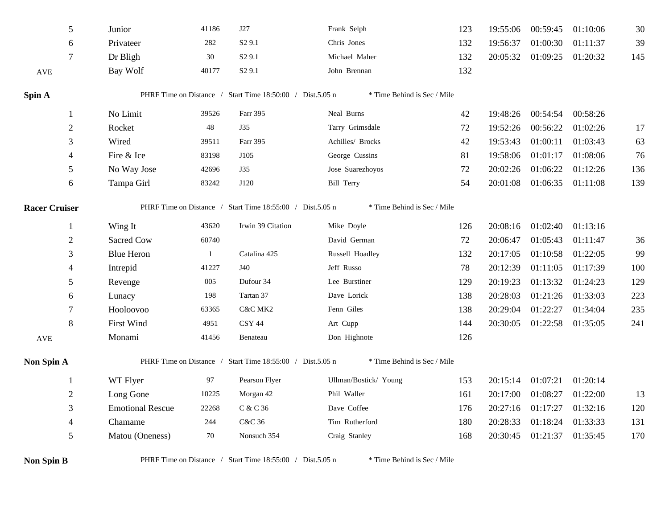| 5                    | Junior                                                                                   | 41186        | J27                                                       | Frank Selph                 | 123 | 19:55:06 | 00:59:45 | 01:10:06 | 30  |
|----------------------|------------------------------------------------------------------------------------------|--------------|-----------------------------------------------------------|-----------------------------|-----|----------|----------|----------|-----|
| 6                    | Privateer                                                                                | 282          | S <sub>2</sub> 9.1                                        | Chris Jones                 | 132 | 19:56:37 | 01:00:30 | 01:11:37 | 39  |
| 7                    | Dr Bligh                                                                                 | 30           | S <sub>2</sub> 9.1                                        | Michael Maher               | 132 | 20:05:32 | 01:09:25 | 01:20:32 | 145 |
| $\operatorname{AVE}$ | Bay Wolf                                                                                 | 40177        | S <sub>2</sub> 9.1                                        | John Brennan                | 132 |          |          |          |     |
| Spin A               |                                                                                          |              | PHRF Time on Distance / Start Time 18:50:00 / Dist.5.05 n | * Time Behind is Sec / Mile |     |          |          |          |     |
| 1                    | No Limit                                                                                 | 39526        | Farr 395                                                  | Neal Burns                  | 42  | 19:48:26 | 00:54:54 | 00:58:26 |     |
| $\sqrt{2}$           | Rocket                                                                                   | 48           | J35                                                       | Tarry Grimsdale             | 72  | 19:52:26 | 00:56:22 | 01:02:26 | 17  |
| $\mathfrak{Z}$       | Wired                                                                                    | 39511        | Farr 395                                                  | Achilles/ Brocks            | 42  | 19:53:43 | 01:00:11 | 01:03:43 | 63  |
| $\overline{4}$       | Fire & Ice                                                                               | 83198        | J105                                                      | George Cussins              | 81  | 19:58:06 | 01:01:17 | 01:08:06 | 76  |
| 5                    | No Way Jose                                                                              | 42696        | J35                                                       | Jose Suarezhoyos            | 72  | 20:02:26 | 01:06:22 | 01:12:26 | 136 |
| 6                    | Tampa Girl                                                                               | 83242        | J120                                                      | <b>Bill Terry</b>           | 54  | 20:01:08 | 01:06:35 | 01:11:08 | 139 |
| <b>Racer Cruiser</b> |                                                                                          |              | PHRF Time on Distance / Start Time 18:55:00 / Dist.5.05 n | * Time Behind is Sec / Mile |     |          |          |          |     |
| 1                    | Wing It                                                                                  | 43620        | Irwin 39 Citation                                         | Mike Doyle                  | 126 | 20:08:16 | 01:02:40 | 01:13:16 |     |
| $\mathbf{2}$         | <b>Sacred Cow</b>                                                                        | 60740        |                                                           | David German                | 72  | 20:06:47 | 01:05:43 | 01:11:47 | 36  |
| 3                    | <b>Blue Heron</b>                                                                        | $\mathbf{1}$ | Catalina 425                                              | Russell Hoadley             | 132 | 20:17:05 | 01:10:58 | 01:22:05 | 99  |
| 4                    | Intrepid                                                                                 | 41227        | J40                                                       | Jeff Russo                  | 78  | 20:12:39 | 01:11:05 | 01:17:39 | 100 |
| 5                    | Revenge                                                                                  | 005          | Dufour 34                                                 | Lee Burstiner               | 129 | 20:19:23 | 01:13:32 | 01:24:23 | 129 |
| 6                    | Lunacy                                                                                   | 198          | Tartan 37                                                 | Dave Lorick                 | 138 | 20:28:03 | 01:21:26 | 01:33:03 | 223 |
| 7                    | Hooloovoo                                                                                | 63365        | C&C MK2                                                   | Fenn Giles                  | 138 | 20:29:04 | 01:22:27 | 01:34:04 | 235 |
| 8                    | <b>First Wind</b>                                                                        | 4951         | <b>CSY 44</b>                                             | Art Cupp                    | 144 | 20:30:05 | 01:22:58 | 01:35:05 | 241 |
| AVE                  | Monami                                                                                   | 41456        | Benateau                                                  | Don Highnote                | 126 |          |          |          |     |
| Non Spin A           |                                                                                          |              | PHRF Time on Distance / Start Time 18:55:00 / Dist.5.05 n | * Time Behind is Sec / Mile |     |          |          |          |     |
| -1                   | WT Flyer                                                                                 | 97           | Pearson Flyer                                             | Ullman/Bostick/ Young       | 153 | 20:15:14 | 01:07:21 | 01:20:14 |     |
| $\mathfrak{2}$       | Long Gone                                                                                | 10225        | Morgan 42                                                 | Phil Waller                 | 161 | 20:17:00 | 01:08:27 | 01:22:00 | 13  |
| 3                    | <b>Emotional Rescue</b>                                                                  | 22268        | C & C 36                                                  | Dave Coffee                 | 176 | 20:27:16 | 01:17:27 | 01:32:16 | 120 |
| $\overline{4}$       | Chamame                                                                                  | 244          | C&C 36                                                    | Tim Rutherford              | 180 | 20:28:33 | 01:18:24 | 01:33:33 | 131 |
| $\mathfrak s$        | Matou (Oneness)                                                                          | 70           | Nonsuch 354                                               | Craig Stanley               | 168 | 20:30:45 | 01:21:37 | 01:35:45 | 170 |
| <b>Non Spin B</b>    | PHRF Time on Distance / Start Time 18:55:00 / Dist.5.05 n<br>* Time Behind is Sec / Mile |              |                                                           |                             |     |          |          |          |     |